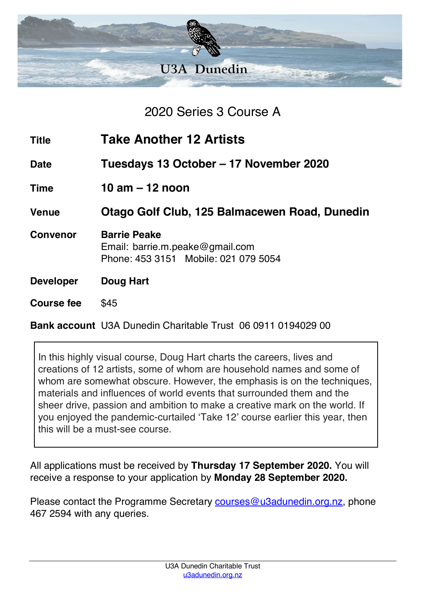

2020 Series 3 Course A

| <b>Title</b>     | <b>Take Another 12 Artists</b>                                                                 |
|------------------|------------------------------------------------------------------------------------------------|
| <b>Date</b>      | Tuesdays 13 October – 17 November 2020                                                         |
| <b>Time</b>      | 10 am $-$ 12 noon                                                                              |
| <b>Venue</b>     | Otago Golf Club, 125 Balmacewen Road, Dunedin                                                  |
| <b>Convenor</b>  | <b>Barrie Peake</b><br>Email: barrie.m.peake@gmail.com<br>Phone: 453 3151 Mobile: 021 079 5054 |
| <b>Developer</b> | <b>Doug Hart</b>                                                                               |
| Course fee       | \$45                                                                                           |

**Bank account** U3A Dunedin Charitable Trust 06 0911 0194029 00

In this highly visual course, Doug Hart charts the careers, lives and creations of 12 artists, some of whom are household names and some of whom are somewhat obscure. However, the emphasis is on the techniques, materials and influences of world events that surrounded them and the sheer drive, passion and ambition to make a creative mark on the world. If you enjoyed the pandemic-curtailed 'Take 12' course earlier this year, then this will be a must-see course.

All applications must be received by **Thursday 17 September 2020.** You will receive a response to your application by **Monday 28 September 2020.**

Please contact the Programme Secretary courses@u3adunedin.org.nz, phone 467 2594 with any queries.